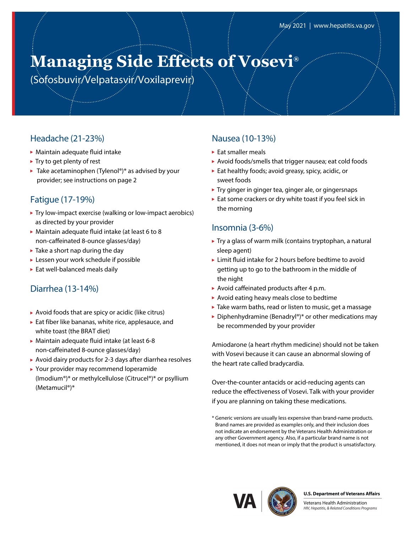# **Managing Side Effects of Vosevi®**

(Sofosbuvir/Velpatasvir/Voxilaprevir)

## Headache (21-23%)

- Maintain adequate fluid intake
- $\blacktriangleright$  Try to get plenty of rest
- $\blacktriangleright$  Take acetaminophen (Tylenol®)\* as advised by your provider; see instructions on page 2

## Fatigue (17-19%)

- Try low-impact exercise (walking or low-impact aerobics) as directed by your provider
- Maintain adequate fluid intake (at least 6 to 8 non-caffeinated 8-ounce glasses/day)
- $\blacktriangleright$  Take a short nap during the day
- Lessen your work schedule if possible
- Eat well-balanced meals daily

## Diarrhea (13-14%)

- $\blacktriangleright$  Avoid foods that are spicy or acidic (like citrus)
- Eat fiber like bananas, white rice, applesauce, and white toast (the BRAT diet)
- Maintain adequate fluid intake (at least 6-8 non-caffeinated 8-ounce glasses/day)
- Avoid dairy products for 2-3 days after diarrhea resolves
- Your provider may recommend loperamide (Imodium®)\* or methylcellulose (Citrucel®)\* or psyllium (Metamucil®)\*

## Nausea (10-13%)

- ► Eat smaller meals
- Avoid foods/smells that trigger nausea; eat cold foods
- $\blacktriangleright$  Eat healthy foods; avoid greasy, spicy, acidic, or sweet foods
- ▶ Try ginger in ginger tea, ginger ale, or gingersnaps
- Eat some crackers or dry white toast if you feel sick in the morning

### Insomnia (3-6%)

- ▶ Try a glass of warm milk (contains tryptophan, a natural sleep agent)
- ► Limit fluid intake for 2 hours before bedtime to avoid getting up to go to the bathroom in the middle of the night
- ▶ Avoid caffeinated products after 4 p.m.
- Avoid eating heavy meals close to bedtime
- ▶ Take warm baths, read or listen to music, get a massage
- ▶ Diphenhydramine (Benadryl®)\* or other medications may be recommended by your provider

Amiodarone (a heart rhythm medicine) should not be taken with Vosevi because it can cause an abnormal slowing of the heart rate called bradycardia.

Over-the-counter antacids or acid-reducing agents can reduce the effectiveness of Vosevi. Talk with your provider if you are planning on taking these medications.



#### **U.S. Department of Veterans Affairs**

Veterans Health Administration HIV, Hepatitis, & Related Conditions Programs

<sup>\*</sup> Generic versions are usually less expensive than brand-name products. Brand names are provided as examples only, and their inclusion does not indicate an endorsement by the Veterans Health Administration or any other Government agency. Also, if a particular brand name is not mentioned, it does not mean or imply that the product is unsatisfactory.